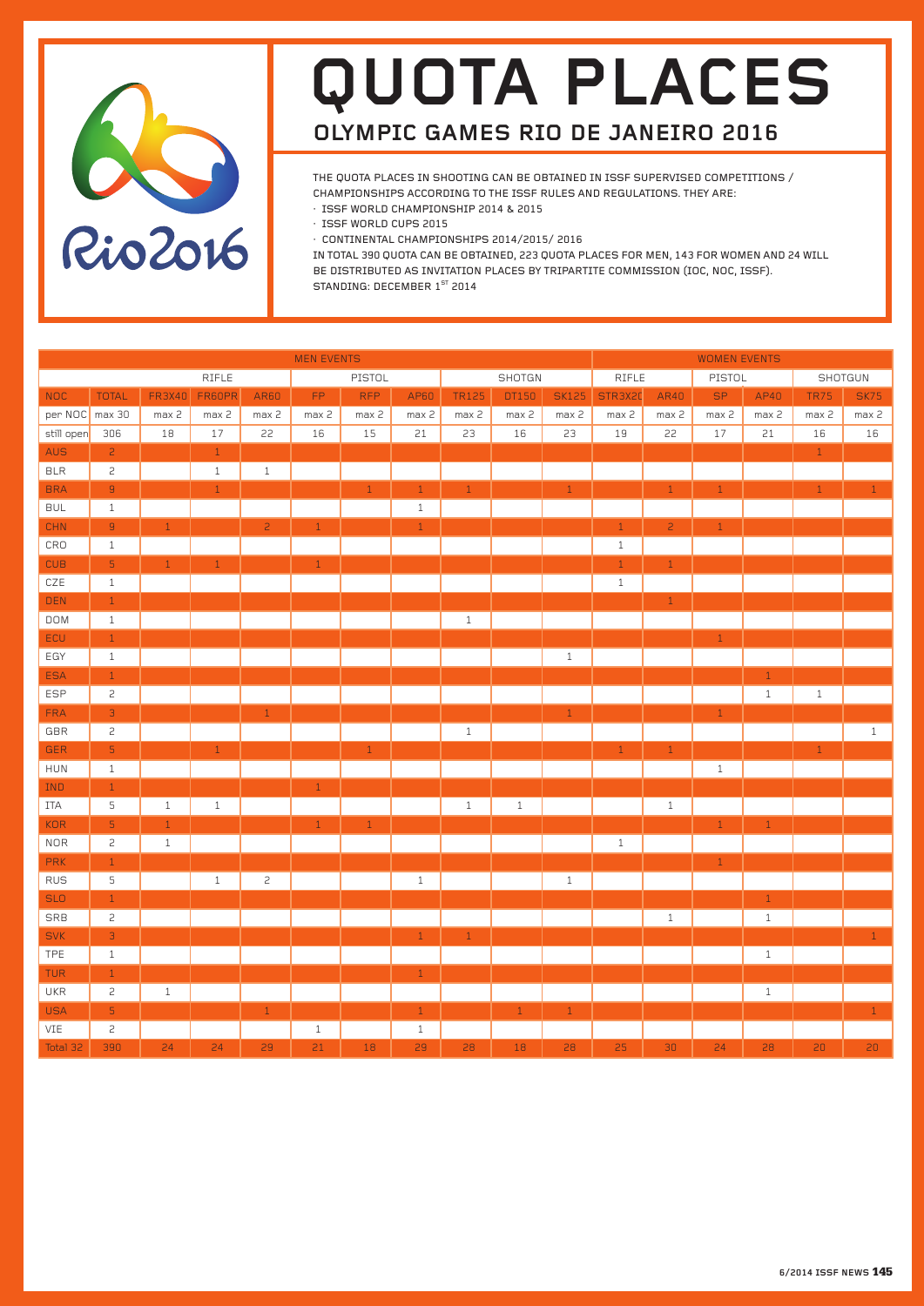

# **quota places olympic games rio de janeiro 2016**

The Quota places in shooting can be obtained in ISSF supervised Competitions / Championships according to the ISSF Rules and Regulations. They are:

- · ISSF World Championship 2014 & 2015
- · ISSF World Cups 2015
- · Continental Championships 2014/2015/ 2016

In Total 390 Quota can be obtained, 223 Quota places for Men, 143 for Women and 24 will be distributed as Invitation places by Tripartite Commission (IOC, NOC, ISSF). STANDING: DECEMBER 1<sup>st</sup> 2014

| <b>MEN EVENTS</b> |                |               |              |                |              |              |              | <b>WOMEN EVENTS</b> |        |              |              |                |               |              |              |              |
|-------------------|----------------|---------------|--------------|----------------|--------------|--------------|--------------|---------------------|--------|--------------|--------------|----------------|---------------|--------------|--------------|--------------|
|                   |                |               | <b>RIFLE</b> |                |              | PISTOL       |              |                     | SHOTGN |              | <b>RIFLE</b> |                | <b>PISTOL</b> |              |              | SHOTGUN      |
| <b>NOC</b>        | <b>TOTAL</b>   | <b>FR3X40</b> | FR60PR       | AR60           | FP.          | <b>RFP</b>   | AP60         | <b>TR125</b>        | DT150  | <b>SK125</b> | STR3X20      | AR40           | SP.           | AP40         | TR75         | <b>SK75</b>  |
| per NOC max 30    |                | max 2         | max 2        | max 2          | max 2        | max 2        | max 2        | max 2               | max 2  | max 2        | max 2        | max 2          | max 2         | max 2        | max 2        | max 2        |
| still open        | 306            | 18            | 17           | 22             | 16           | 15           | 21           | 23                  | 16     | 23           | 19           | 22             | 17            | $21\,$       | 16           | 16           |
| <b>AUS</b>        | $\overline{c}$ |               | 1            |                |              |              |              |                     |        |              |              |                |               |              | $\mathbf{1}$ |              |
| <b>BLR</b>        | $\overline{c}$ |               | $\mathbf{1}$ | $\mathbf{1}$   |              |              |              |                     |        |              |              |                |               |              |              |              |
| <b>BRA</b>        | $\mathsf g$    |               | $\mathbf{1}$ |                |              | $\mathbf{1}$ | $1\,$        | $1$ $\,$            |        | $\,1\,$      |              | $\mathbf{1}$   | $\mathbf{1}$  |              | $\,1\,$      | $\mathbf{1}$ |
| <b>BUL</b>        | $1\,$          |               |              |                |              |              | $\,1\,$      |                     |        |              |              |                |               |              |              |              |
| <b>CHN</b>        | $\overline{9}$ | $\mathbf{1}$  |              | $\overline{c}$ | $\mathbf{1}$ |              | $\mathbf{1}$ |                     |        |              | $\mathbf{1}$ | $\overline{c}$ | $\mathbf{1}$  |              |              |              |
| CRO               | $\mathbf{1}$   |               |              |                |              |              |              |                     |        |              | $\mathbf{1}$ |                |               |              |              |              |
| <b>CUB</b>        | $\overline{5}$ | $\mathbf{1}$  | $\mathbf{1}$ |                | $\mathbf{1}$ |              |              |                     |        |              | $\mathbf{1}$ | $\mathbf{1}$   |               |              |              |              |
| $CZE$             | $1\,$          |               |              |                |              |              |              |                     |        |              | $1\,$        |                |               |              |              |              |
| DEN               | $\,1\,$        |               |              |                |              |              |              |                     |        |              |              | $\,1\,$        |               |              |              |              |
| <b>DOM</b>        | $1\,$          |               |              |                |              |              |              | $\,1\,$             |        |              |              |                |               |              |              |              |
| ECU               | $1\,$          |               |              |                |              |              |              |                     |        |              |              |                | $\,1\,$       |              |              |              |
| EGY               | $1\,$          |               |              |                |              |              |              |                     |        | $\mathbf{1}$ |              |                |               |              |              |              |
| <b>ESA</b>        | $\,1\,$        |               |              |                |              |              |              |                     |        |              |              |                |               | $\mathbf{1}$ |              |              |
| <b>ESP</b>        | $\overline{c}$ |               |              |                |              |              |              |                     |        |              |              |                |               | $\mathbf{1}$ | $\mathbf{1}$ |              |
| <b>FRA</b>        | $\overline{3}$ |               |              | $1\,$          |              |              |              |                     |        | $\,1\,$      |              |                | $\,1\,$       |              |              |              |
| GBR               | $\overline{c}$ |               |              |                |              |              |              | $\,1\,$             |        |              |              |                |               |              |              | $\mathbf{1}$ |
| <b>GER</b>        | $\overline{5}$ |               | $\,1\,$      |                |              | $\mathbf{1}$ |              |                     |        |              | $\mathbf{1}$ | $\mathbf{1}$   |               |              | $\mathbf 1$  |              |
| HUN               | $\,1\,$        |               |              |                |              |              |              |                     |        |              |              |                | $\,1\,$       |              |              |              |
| <b>IND</b>        | $\mathbf{1}$   |               |              |                | $\mathbf{1}$ |              |              |                     |        |              |              |                |               |              |              |              |
| ITA               | 5              | $\mathbf{1}$  | $\,1\,$      |                |              |              |              | $\,1\,$             | $1\,$  |              |              | $1\,$          |               |              |              |              |
| <b>KOR</b>        | $\overline{5}$ | $\mathbf{1}$  |              |                | $\mathbf{1}$ | $\mathbf{1}$ |              |                     |        |              |              |                | $\mathbf{1}$  | $\mathbf{1}$ |              |              |
| <b>NOR</b>        | $\mathsf{S}$   | $\,1\,$       |              |                |              |              |              |                     |        |              | $1\,$        |                |               |              |              |              |
| <b>PRK</b>        | $\mathbf{1}$   |               |              |                |              |              |              |                     |        |              |              |                | $\mathbf{1}$  |              |              |              |
| <b>RUS</b>        | $\mathsf S$    |               | $\mathbf{1}$ | $\overline{c}$ |              |              | $\mathbf{1}$ |                     |        | $\,1\,$      |              |                |               |              |              |              |
| <b>SLO</b>        | $\,1\,$        |               |              |                |              |              |              |                     |        |              |              |                |               | $\mathbf{1}$ |              |              |
| SRB               | $\mathsf{S}$   |               |              |                |              |              |              |                     |        |              |              | $1\,$          |               | $1\,$        |              |              |
| <b>SVK</b>        | $\overline{3}$ |               |              |                |              |              | $\mathbf{1}$ | $1\,$               |        |              |              |                |               |              |              | $\mathbf{1}$ |
| TPE               | $\mathbf{1}$   |               |              |                |              |              |              |                     |        |              |              |                |               | $\mathbf{1}$ |              |              |
| <b>TUR</b>        | $1\,$          |               |              |                |              |              | $1\,$        |                     |        |              |              |                |               |              |              |              |
| UKR               | $\overline{c}$ | $1\,$         |              |                |              |              |              |                     |        |              |              |                |               | $1\,$        |              |              |
| <b>USA</b>        | $\mathsf S$    |               |              | $\,1\,$        |              |              | $\,1\,$      |                     | $1\,$  | $\,1\,$      |              |                |               |              |              | $\,1\,$      |
| VIE               | 2              |               |              |                | $\mathbf{1}$ |              | $\mathbf{1}$ |                     |        |              |              |                |               |              |              |              |
| Total 32          | 390            | 24            | 24           | 29             | 21           | 18           | 29           | 28                  | 18     | 28           | 25           | 30             | 24            | 28           | 20           | 20           |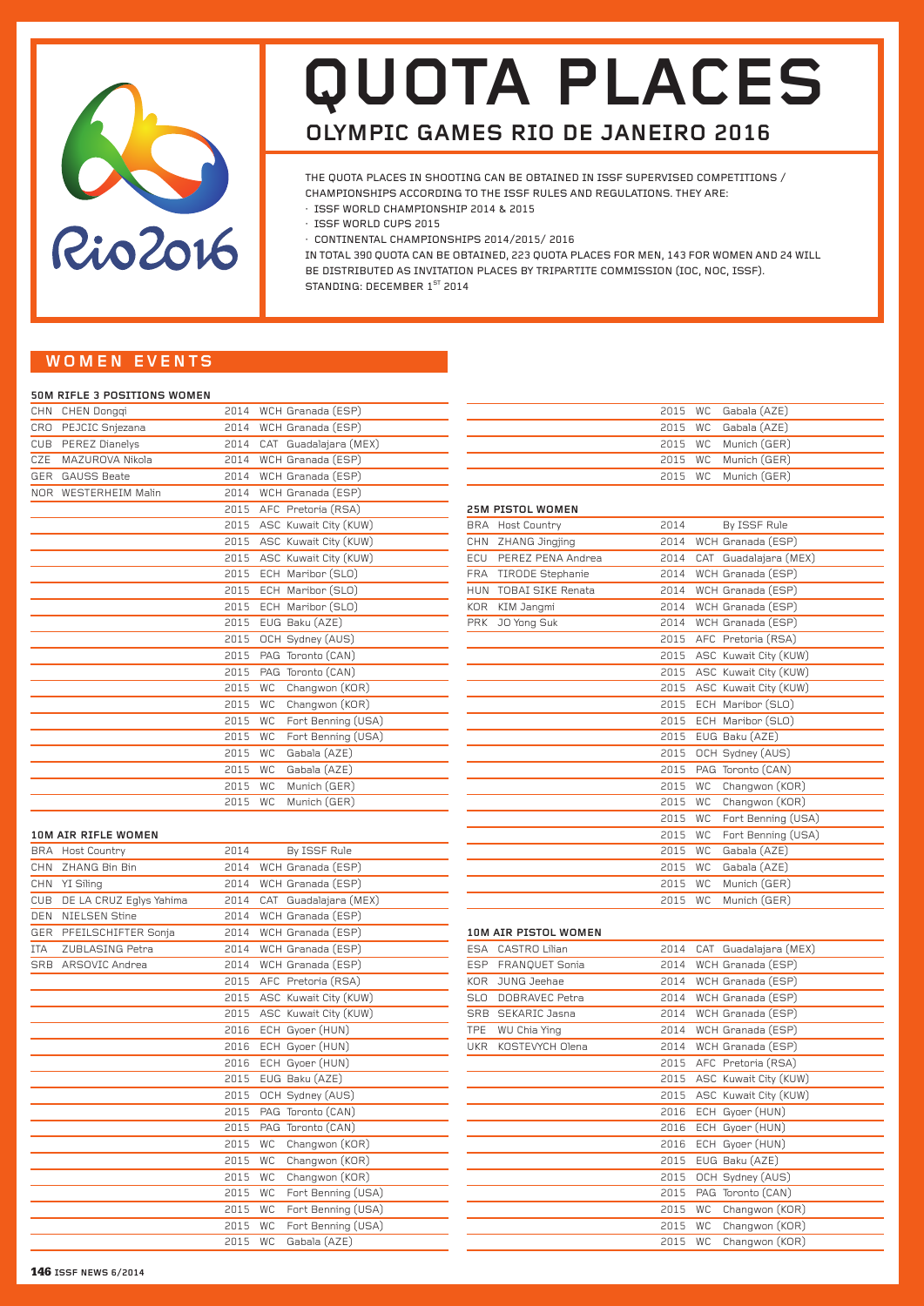

# **quota places olympic games rio de janeiro 2016**

The Quota places in shooting can be obtained in ISSF supervised Competitions / Championships according to the ISSF Rules and Regulations. They are:

- · ISSF World Championship 2014 & 2015
- · ISSF World Cups 2015
- · Continental Championships 2014/2015/ 2016

In Total 390 Quota can be obtained, 223 Quota places for Men, 143 for Women and 24 will be distributed as Invitation places by Tripartite Commission (IOC, NOC, ISSF). STANDING: DECEMBER 1<sup>ST</sup> 2014

# **woMEN even ts**

#### **50m Rifle 3 Positions Women**

| <b>CHN</b> | CHEN Dongqi          | 2014 | WCH Granada (ESP)               |
|------------|----------------------|------|---------------------------------|
| CRO        | PEJCIC Snjezana      | 2014 | WCH Granada (ESP)               |
|            | CUB PEREZ Dianelys   | 2014 | CAT Guadalajara (MEX)           |
| CZE        | MAZUROVA Nikola      | 2014 | WCH Granada (ESP)               |
| <b>GER</b> | <b>GAUSS Beate</b>   | 2014 | WCH Granada (ESP)               |
|            | NOR WESTERHEIM Malin | 2014 | WCH Granada (ESP)               |
|            |                      |      | 2015 AFC Pretoria (RSA)         |
|            |                      |      | 2015 ASC Kuwait City (KUW)      |
|            |                      | 2015 | ASC Kuwait City (KUW)           |
|            |                      | 2015 | ASC Kuwait City (KUW)           |
|            |                      | 2015 | ECH Maribor (SLO)               |
|            |                      | 2015 | ECH Maribor (SLO)               |
|            |                      | 2015 | ECH Maribor (SLO)               |
|            |                      | 2015 | EUG Baku (AZE)                  |
|            |                      | 2015 | OCH Sydney (AUS)                |
|            |                      | 2015 | PAG Toronto (CAN)               |
|            |                      | 2015 | PAG Toronto (CAN)               |
|            |                      | 2015 | <b>WC</b><br>Changwon (KOR)     |
|            |                      | 2015 | Changwon (KOR)<br><b>WC</b>     |
|            |                      | 2015 | Fort Benning (USA)<br><b>WC</b> |
|            |                      | 2015 | <b>WC</b><br>Fort Benning (USA) |
|            |                      | 2015 | Gabala (AZE)<br><b>WC</b>       |
|            |                      | 2015 | Gabala (AZE)<br><b>WC</b>       |
|            |                      | 2015 | Munich (GER)<br><b>WC</b>       |
|            |                      | 2015 | <b>WC</b><br>Munich (GER)       |
|            |                      |      |                                 |

# **10m Air Rifle Women**

|            | IUM AIR RIFLE WUMEN     |      |                                 |
|------------|-------------------------|------|---------------------------------|
|            | BRA Host Country        | 2014 | By ISSF Rule                    |
| <b>CHN</b> | ZHANG Bin Bin           | 2014 | WCH Granada (ESP)               |
| <b>CHN</b> | YI Siling               | 2014 | WCH Granada (ESP)               |
| <b>CUB</b> | DE LA CRUZ Eglys Yahima | 2014 | CAT Guadalajara (MEX)           |
| <b>DEN</b> | NIELSEN Stine           | 2014 | WCH Granada (ESP)               |
|            | GER PFEILSCHIFTER Sonja | 2014 | WCH Granada (ESP)               |
| <b>ITA</b> | ZUBLASING Petra         | 2014 | WCH Granada (ESP)               |
|            | SRB ARSOVIC Andrea      | 2014 | WCH Granada (ESP)               |
|            |                         | 2015 | AFC Pretoria (RSA)              |
|            |                         | 2015 | ASC Kuwait City (KUW)           |
|            |                         | 2015 | ASC Kuwait City (KUW)           |
|            |                         | 2016 | ECH Gyoer (HUN)                 |
|            |                         | 2016 | ECH Gyoer (HUN)                 |
|            |                         | 2016 | ECH Gyoer (HUN)                 |
|            |                         | 2015 | EUG Baku (AZE)                  |
|            |                         | 2015 | OCH Sydney (AUS)                |
|            |                         | 2015 | PAG Toronto (CAN)               |
|            |                         | 2015 | PAG Toronto (CAN)               |
|            |                         | 2015 | Changwon (KOR)<br><b>WC</b>     |
|            |                         | 2015 | Changwon (KOR)<br><b>WC</b>     |
|            |                         | 2015 | Changwon (KOR)<br><b>WC</b>     |
|            |                         | 2015 | Fort Benning (USA)<br><b>WC</b> |
|            |                         | 2015 | Fort Benning (USA)<br><b>WC</b> |
|            |                         | 2015 | <b>WC</b><br>Fort Benning (USA) |
|            |                         | 2015 | <b>WC</b><br>Gabala (AZE)       |

|  | 2015 WC Gabala (AZE) |
|--|----------------------|
|  | 2015 WC Gabala (AZE) |
|  | 2015 WC Munich (GER) |
|  | 2015 WC Munich (GER) |
|  | 2015 WC Munich (GER) |
|  |                      |

## **25m Pistol Women**

| <b>BRA</b> | <b>Host Country</b>      | 2014 | By ISSF Rule                    |
|------------|--------------------------|------|---------------------------------|
| <b>CHN</b> | ZHANG Jingjing           | 2014 | WCH Granada (ESP)               |
| ECU        | PEREZ PENA Andrea        | 2014 | CAT Guadalajara (MEX)           |
|            | FRA TIRODE Stephanie     | 2014 | WCH Granada (ESP)               |
| <b>HUN</b> | <b>TOBAI SIKE Renata</b> | 2014 | WCH Granada (ESP)               |
| <b>KOR</b> | KIM Jangmi               | 2014 | WCH Granada (ESP)               |
| <b>PRK</b> | JO Yong Suk              | 2014 | WCH Granada (ESP)               |
|            |                          | 2015 | AFC Pretoria (RSA)              |
|            |                          | 2015 | ASC Kuwait City (KUW)           |
|            |                          | 2015 | ASC Kuwait City (KUW)           |
|            |                          | 2015 | ASC Kuwait City (KUW)           |
|            |                          | 2015 | ECH Maribor (SLO)               |
|            |                          | 2015 | ECH Maribor (SLO)               |
|            |                          | 2015 | EUG Baku (AZE)                  |
|            |                          | 2015 | OCH Sydney (AUS)                |
|            |                          | 2015 | PAG Toronto (CAN)               |
|            |                          | 2015 | Changwon (KOR)<br>WC            |
|            |                          | 2015 | Changwon (KOR)<br><b>WC</b>     |
|            |                          | 2015 | Fort Benning (USA)<br><b>WC</b> |
|            |                          | 2015 | Fort Benning (USA)<br><b>WC</b> |
|            |                          | 2015 | Gabala (AZE)<br><b>WC</b>       |
|            |                          | 2015 | Gabala (AZE)<br><b>WC</b>       |
|            |                          | 2015 | Munich (GER)<br><b>WC</b>       |
|            |                          | 2015 | <b>WC</b><br>Munich (GER)       |

## **10m Air Pistol Women**

| <b>ESA</b> | CASTRO Lilian   | 2014 |           | CAT Guadalajara (MEX)   |
|------------|-----------------|------|-----------|-------------------------|
| <b>ESP</b> | FRANQUET Sonia  | 2014 |           | WCH Granada (ESP)       |
| <b>KOR</b> | JUNG Jeehae     | 2014 |           | WCH Granada (ESP)       |
| <b>SLO</b> | DOBRAVEC Petra  | 2014 |           | WCH Granada (ESP)       |
| <b>SRB</b> | SEKARIC Jasna   | 2014 |           | WCH Granada (ESP)       |
| <b>TPE</b> | WU Chia Ying    | 2014 |           | WCH Granada (ESP)       |
| <b>UKR</b> | KOSTEVYCH Olena | 2014 |           | WCH Granada (ESP)       |
|            |                 |      |           | 2015 AFC Pretoria (RSA) |
|            |                 | 2015 |           | ASC Kuwait City (KUW)   |
|            |                 | 2015 |           | ASC Kuwait City (KUW)   |
|            |                 | 2016 |           | ECH Gyoer (HUN)         |
|            |                 | 2016 |           | ECH Gyoer (HUN)         |
|            |                 | 2016 |           | ECH Gyoer (HUN)         |
|            |                 | 2015 |           | EUG Baku (AZE)          |
|            |                 | 2015 |           | OCH Sydney (AUS)        |
|            |                 | 2015 |           | PAG Toronto (CAN)       |
|            |                 | 2015 | <b>WC</b> | Changwon (KOR)          |
|            |                 | 2015 | WC        | Changwon (KOR)          |
|            |                 | 2015 | <b>WC</b> | Changwon (KOR)          |
|            |                 |      |           |                         |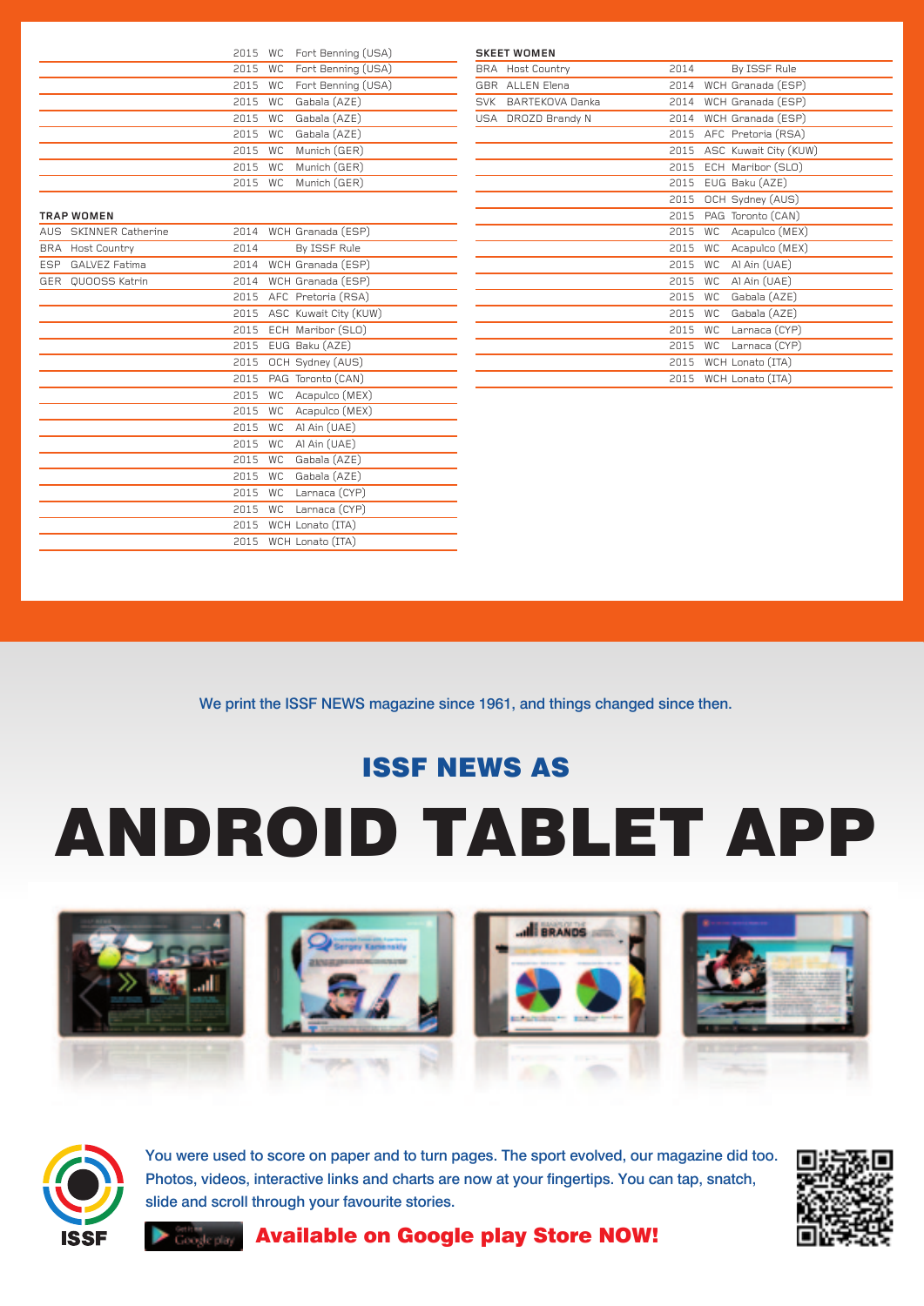|  | 2015 WC Fort Benning (USA) |
|--|----------------------------|
|  | 2015 WC Fort Benning (USA) |
|  | 2015 WC Fort Benning (USA) |
|  | 2015 WC Gabala (AZE)       |
|  | 2015 WC Gabala (AZE)       |
|  | 2015 WC Gabala (AZE)       |
|  | 2015 WC Munich (GER)       |
|  | 2015 WC Munich (GER)       |
|  | 2015 WC Munich (GER)       |

## **Trap Women**

| AUS.       | <b>SKINNER Catherine</b> | 2014 |           | WCH Granada (ESP)     |
|------------|--------------------------|------|-----------|-----------------------|
| <b>BRA</b> | Host Country             | 2014 |           | By ISSF Rule          |
| <b>ESP</b> | <b>GALVEZ Fatima</b>     | 2014 |           | WCH Granada (ESP)     |
|            | GER QUOOSS Katrin        | 2014 |           | WCH Granada (ESP)     |
|            |                          | 2015 |           | AFC Pretoria (RSA)    |
|            |                          | 2015 |           | ASC Kuwait City (KUW) |
|            |                          | 2015 |           | ECH Maribor (SLO)     |
|            |                          | 2015 |           | EUG Baku (AZE)        |
|            |                          | 2015 |           | OCH Sydney (AUS)      |
|            |                          | 2015 |           | PAG Toronto (CAN)     |
|            |                          | 2015 | WC        | Acapulco (MEX)        |
|            |                          | 2015 | <b>WC</b> | Acapulco (MEX)        |
|            |                          | 2015 | <b>WC</b> | Al Ain (UAE)          |
|            |                          | 2015 | <b>WC</b> | Al Ain (UAE)          |
|            |                          | 2015 | <b>WC</b> | Gabala (AZE)          |
|            |                          | 2015 | <b>WC</b> | Gabala (AZE)          |
|            |                          | 2015 | <b>WC</b> | Larnaca (CYP)         |
|            |                          | 2015 | <b>WC</b> | Larnaca (CYP)         |
|            |                          | 2015 |           | WCH Lonato (ITA)      |
|            |                          | 2015 |           | WCH Lonato (ITA)      |
|            |                          |      |           |                       |

|            | <b>SKEET WOMEN</b> |      |                             |
|------------|--------------------|------|-----------------------------|
| BRA        | Host Country       | 2014 | By ISSF Rule                |
| <b>GBR</b> | <b>ALLEN Elena</b> | 2014 | WCH Granada (ESP)           |
| <b>SVK</b> | BARTEKOVA Danka    | 2014 | WCH Granada (ESP)           |
|            | USA DROZD Brandy N | 2014 | WCH Granada (ESP)           |
|            |                    | 2015 | AFC Pretoria (RSA)          |
|            |                    | 2015 | ASC Kuwait City (KUW)       |
|            |                    | 2015 | ECH Maribor (SLO)           |
|            |                    | 2015 | EUG Baku (AZE)              |
|            |                    | 2015 | OCH Sydney (AUS)            |
|            |                    | 2015 | PAG Toronto (CAN)           |
|            |                    | 2015 | Acapulco (MEX)<br><b>WC</b> |
|            |                    | 2015 | Acapulco (MEX)<br><b>WC</b> |
|            |                    | 2015 | Al Ain (UAE)<br><b>WC</b>   |
|            |                    | 2015 | Al Ain (UAE)<br><b>WC</b>   |
|            |                    | 2015 | <b>WC</b><br>Gabala (AZE)   |
|            |                    | 2015 | Gabala (AZE)<br><b>WC</b>   |
|            |                    | 2015 | <b>WC</b><br>Larnaca (CYP)  |
|            |                    | 2015 | <b>WC</b><br>Larnaca (CYP)  |
|            |                    | 2015 | WCH Lonato (ITA)            |
|            |                    | 2015 | WCH Lonato (ITA)            |
|            |                    |      |                             |

We print the ISSF NEWS magazine since 1961, and things changed since then.

# ISSF NEWS as

# Android Tablet App





You were used to score on paper and to turn pages. The sport evolved, our magazine did too. Photos, videos, interactive links and charts are now at your fingertips. You can tap, snatch, slide and scroll through your favourite stories.



# Available on Google play Store NOW!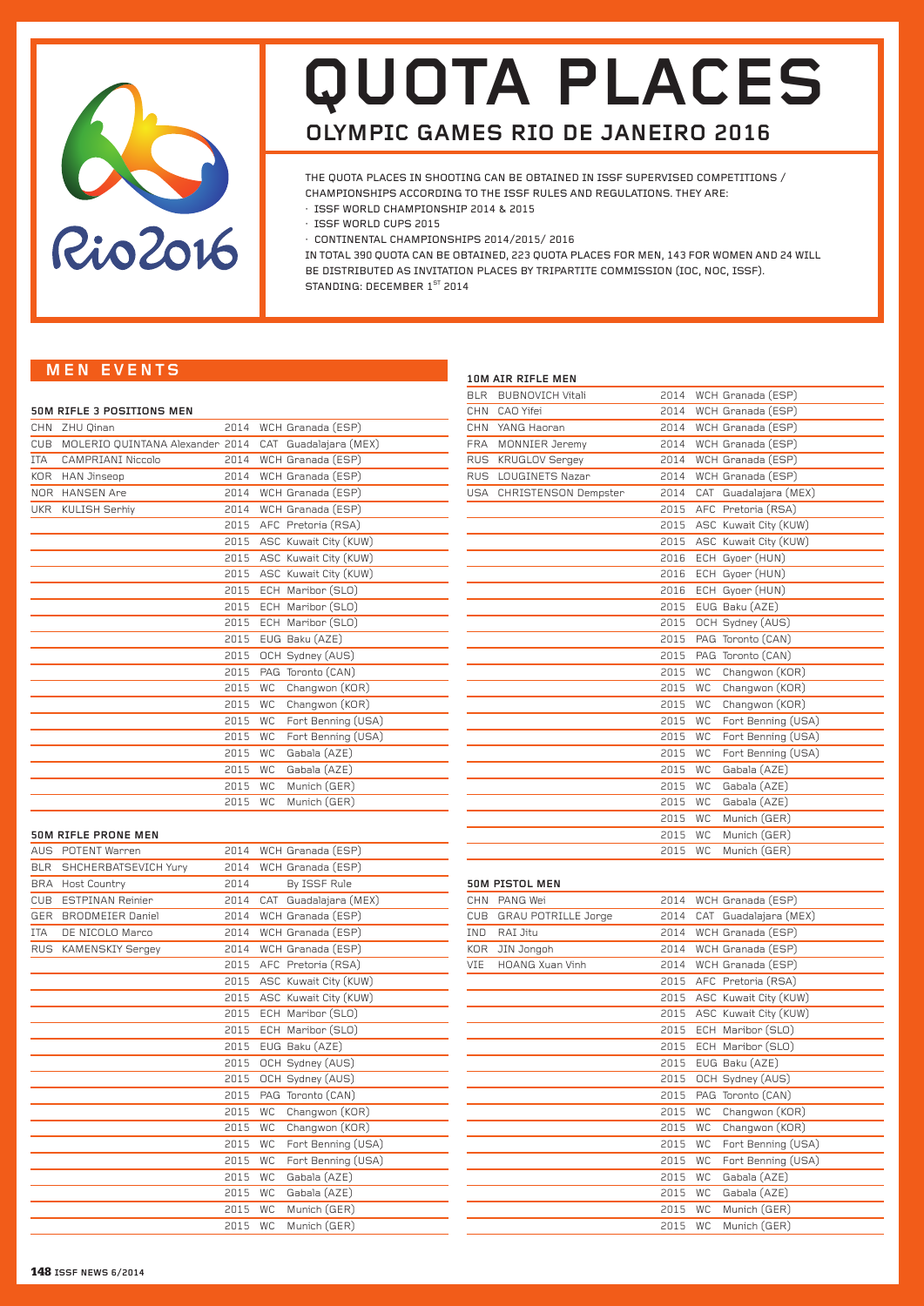

# **quota places olympic games rio de janeiro 2016**

The Quota places in shooting can be obtained in ISSF supervised Competitions / Championships according to the ISSF Rules and Regulations. They are:

- · ISSF World Championship 2014 & 2015
- · ISSF World Cups 2015
- · Continental Championships 2014/2015/ 2016

In Total 390 Quota can be obtained, 223 Quota places for Men, 143 for Women and 24 will be distributed as Invitation places by Tripartite Commission (IOC, NOC, ISSF). STANDING: DECEMBER 1<sup>st</sup> 2014

# **MEN even ts**

|  |  |  |  | 50M RIFLE 3 POSITIONS MEN |  |
|--|--|--|--|---------------------------|--|
|--|--|--|--|---------------------------|--|

| <b>CHN</b> | ZHU Qinan                       | 2014 |           | WCH Granada (ESP)       |
|------------|---------------------------------|------|-----------|-------------------------|
| CUB        | MOLERIO QUINTANA Alexander 2014 |      |           | CAT Guadalajara (MEX)   |
| <b>ITA</b> | <b>CAMPRIANI Niccolo</b>        | 2014 |           | WCH Granada (ESP)       |
| KOR        | <b>HAN Jinseop</b>              | 2014 |           | WCH Granada (ESP)       |
|            | NOR HANSEN Are                  |      |           | 2014 WCH Granada (ESP)  |
| <b>UKR</b> | KULISH Serhiy                   | 2014 |           | WCH Granada (ESP)       |
|            |                                 |      |           | 2015 AFC Pretoria (RSA) |
|            |                                 | 2015 |           | ASC Kuwait City (KUW)   |
|            |                                 | 2015 |           | ASC Kuwait City (KUW)   |
|            |                                 | 2015 |           | ASC Kuwait City (KUW)   |
|            |                                 | 2015 |           | ECH Maribor (SLO)       |
|            |                                 | 2015 |           | ECH Maribor (SLO)       |
|            |                                 | 2015 |           | ECH Maribor (SLO)       |
|            |                                 | 2015 |           | EUG Baku (AZE)          |
|            |                                 | 2015 |           | OCH Sydney (AUS)        |
|            |                                 | 2015 |           | PAG Toronto (CAN)       |
|            |                                 | 2015 | <b>WC</b> | Changwon (KOR)          |
|            |                                 | 2015 | <b>WC</b> | Changwon (KOR)          |
|            |                                 | 2015 | <b>WC</b> | Fort Benning (USA)      |
|            |                                 | 2015 | <b>WC</b> | Fort Benning (USA)      |
|            |                                 | 2015 | <b>WC</b> | Gabala (AZE)            |
|            |                                 | 2015 | <b>WC</b> | Gabala (AZE)            |
|            |                                 | 2015 | <b>WC</b> | Munich (GER)            |
|            |                                 | 2015 | <b>WC</b> | Munich (GER)            |
|            |                                 |      |           |                         |

#### **50m Rifle Prone Men**

| <b>AUS</b> | POTENT Warren            | 2014 | WCH Granada (ESP)               |
|------------|--------------------------|------|---------------------------------|
|            | BLR SHCHERBATSEVICH Yury | 2014 | WCH Granada (ESP)               |
|            | BRA Host Country         | 2014 | By ISSF Rule                    |
| CUB        | <b>ESTPINAN Reinier</b>  | 2014 | CAT Guadalajara (MEX)           |
| <b>GER</b> | <b>BRODMEIER Daniel</b>  | 2014 | WCH Granada (ESP)               |
| ITA        | DE NICOLO Marco          | 2014 | WCH Granada (ESP)               |
|            | RUS KAMENSKIY Sergey     | 2014 | WCH Granada (ESP)               |
|            |                          | 2015 | AFC Pretoria (RSA)              |
|            |                          | 2015 | ASC Kuwait City (KUW)           |
|            |                          | 2015 | ASC Kuwait City (KUW)           |
|            |                          | 2015 | ECH Maribor (SLO)               |
|            |                          | 2015 | ECH Maribor (SLO)               |
|            |                          | 2015 | EUG Baku (AZE)                  |
|            |                          | 2015 | OCH Sydney (AUS)                |
|            |                          | 2015 | OCH Sydney (AUS)                |
|            |                          | 2015 | PAG Toronto (CAN)               |
|            |                          | 2015 | Changwon (KOR)<br><b>WC</b>     |
|            |                          | 2015 | Changwon (KOR)<br><b>WC</b>     |
|            |                          | 2015 | Fort Benning (USA)<br><b>WC</b> |
|            |                          | 2015 | Fort Benning (USA)<br><b>WC</b> |
|            |                          | 2015 | Gabala (AZE)<br><b>WC</b>       |
|            |                          | 2015 | Gabala (AZE)<br><b>WC</b>       |
|            |                          | 2015 | Munich (GER)<br><b>WC</b>       |
|            |                          | 2015 | Munich (GER)<br><b>WC</b>       |

|            | 10M AIR RIFLE MEN        |      |           |                       |
|------------|--------------------------|------|-----------|-----------------------|
| <b>BLR</b> | <b>BUBNOVICH Vitali</b>  | 2014 |           | WCH Granada (ESP)     |
| <b>CHN</b> | CAO Yifei                | 2014 |           | WCH Granada (ESP)     |
| <b>CHN</b> | YANG Haoran              | 2014 |           | WCH Granada (ESP)     |
| <b>FRA</b> | MONNIER Jeremy           | 2014 |           | WCH Granada (ESP)     |
|            | RUS KRUGLOV Sergey       | 2014 |           | WCH Granada (ESP)     |
|            | RUS LOUGINETS Nazar      | 2014 |           | WCH Granada (ESP)     |
|            | USA CHRISTENSON Dempster | 2014 |           | CAT Guadalajara (MEX) |
|            |                          | 2015 |           | AFC Pretoria (RSA)    |
|            |                          | 2015 |           | ASC Kuwait City (KUW) |
|            |                          | 2015 |           | ASC Kuwait City (KUW) |
|            |                          | 2016 |           | ECH Gyoer (HUN)       |
|            |                          | 2016 |           | ECH Gyoer (HUN)       |
|            |                          | 2016 |           | ECH Gyoer (HUN)       |
|            |                          | 2015 |           | EUG Baku (AZE)        |
|            |                          | 2015 |           | OCH Sydney (AUS)      |
|            |                          | 2015 |           | PAG Toronto (CAN)     |
|            |                          | 2015 |           | PAG Toronto (CAN)     |
|            |                          | 2015 | <b>WC</b> | Changwon (KOR)        |
|            |                          | 2015 | <b>WC</b> | Changwon (KOR)        |
|            |                          | 2015 | <b>WC</b> | Changwon (KOR)        |
|            |                          | 2015 | <b>WC</b> | Fort Benning (USA)    |
|            |                          | 2015 | <b>WC</b> | Fort Benning (USA)    |
|            |                          | 2015 | <b>WC</b> | Fort Benning (USA)    |
|            |                          | 2015 | <b>WC</b> | Gabala (AZE)          |
|            |                          | 2015 | <b>WC</b> | Gabala (AZE)          |
|            |                          | 2015 | <b>WC</b> | Gabala (AZE)          |
|            |                          | 2015 | <b>WC</b> | Munich (GER)          |
|            |                          | 2015 | <b>WC</b> | Munich (GER)          |
|            |                          | 2015 | <b>WC</b> | Munich (GER)          |
|            |                          |      |           |                       |

# **50m Pistol Men**

|            | <b>DUM PISTUL MEN</b>      |      |           |                       |
|------------|----------------------------|------|-----------|-----------------------|
| <b>CHN</b> | PANG Wei                   | 2014 |           | WCH Granada (ESP)     |
| CUB        | <b>GRAU POTRILLE Jorge</b> | 2014 |           | CAT Guadalajara (MEX) |
| IND        | RAI Jitu                   | 2014 |           | WCH Granada (ESP)     |
| <b>KOR</b> | JIN Jongoh                 | 2014 |           | WCH Granada (ESP)     |
| VIE        | <b>HOANG Xuan Vinh</b>     | 2014 |           | WCH Granada (ESP)     |
|            |                            | 2015 |           | AFC Pretoria (RSA)    |
|            |                            | 2015 |           | ASC Kuwait City (KUW) |
|            |                            | 2015 |           | ASC Kuwait City (KUW) |
|            |                            | 2015 |           | ECH Maribor (SLO)     |
|            |                            | 2015 |           | ECH Maribor (SLO)     |
|            |                            | 2015 |           | EUG Baku (AZE)        |
|            |                            | 2015 |           | OCH Sydney (AUS)      |
|            |                            | 2015 |           | PAG Toronto (CAN)     |
|            |                            | 2015 | WC        | Changwon (KOR)        |
|            |                            | 2015 | WC        | Changwon (KOR)        |
|            |                            | 2015 | <b>WC</b> | Fort Benning (USA)    |
|            |                            | 2015 | WC        | Fort Benning (USA)    |
|            |                            | 2015 | WC        | Gabala (AZE)          |
|            |                            | 2015 | WC        | Gabala (AZE)          |
|            |                            | 2015 | WC        | Munich (GER)          |
|            |                            | 2015 | WC        | Munich (GER)          |
|            |                            |      |           |                       |